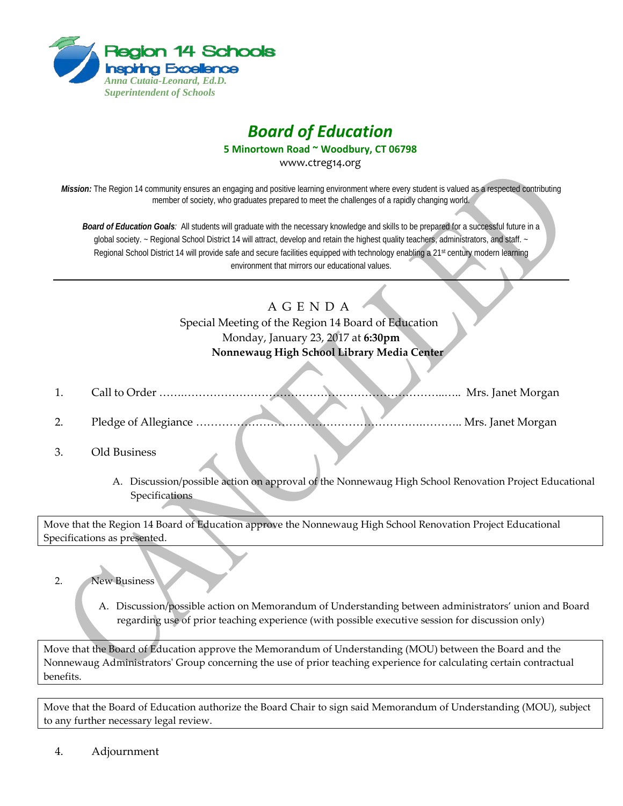

## *Board of Education*

**5 Minortown Road ~ Woodbury, CT 06798**

www.ctreg14.org

*Mission:* The Region 14 community ensures an engaging and positive learning environment where every student is valued as a respected contributing member of society, who graduates prepared to meet the challenges of a rapidly changing world.

*Board of Education Goals:* All students will graduate with the necessary knowledge and skills to be prepared for a successful future in a global society. ~ Regional School District 14 will attract, develop and retain the highest quality teachers, administrators, and staff. ~ Regional School District 14 will provide safe and secure facilities equipped with technology enabling a 21<sup>st</sup> century modern learning environment that mirrors our educational values.

## A G E N D A

Special Meeting of the Region 14 Board of Education Monday, January 23, 2017 at **6:30pm Nonnewaug High School Library Media Center**

- 1. Call to Order …….……………………………………………………………..….. Mrs. Janet Morgan
- 2. Pledge of Allegiance …………………………………………………….……….. Mrs. Janet Morgan
- 3. Old Business
	- A. Discussion/possible action on approval of the Nonnewaug High School Renovation Project Educational Specifications

Move that the Region 14 Board of Education approve the Nonnewaug High School Renovation Project Educational Specifications as presented.

- 2. New Business
	- A. Discussion/possible action on Memorandum of Understanding between administrators' union and Board regarding use of prior teaching experience (with possible executive session for discussion only)

Move that the Board of Education approve the Memorandum of Understanding (MOU) between the Board and the Nonnewaug Administrators' Group concerning the use of prior teaching experience for calculating certain contractual benefits.

Move that the Board of Education authorize the Board Chair to sign said Memorandum of Understanding (MOU), subject to any further necessary legal review.

4. Adjournment